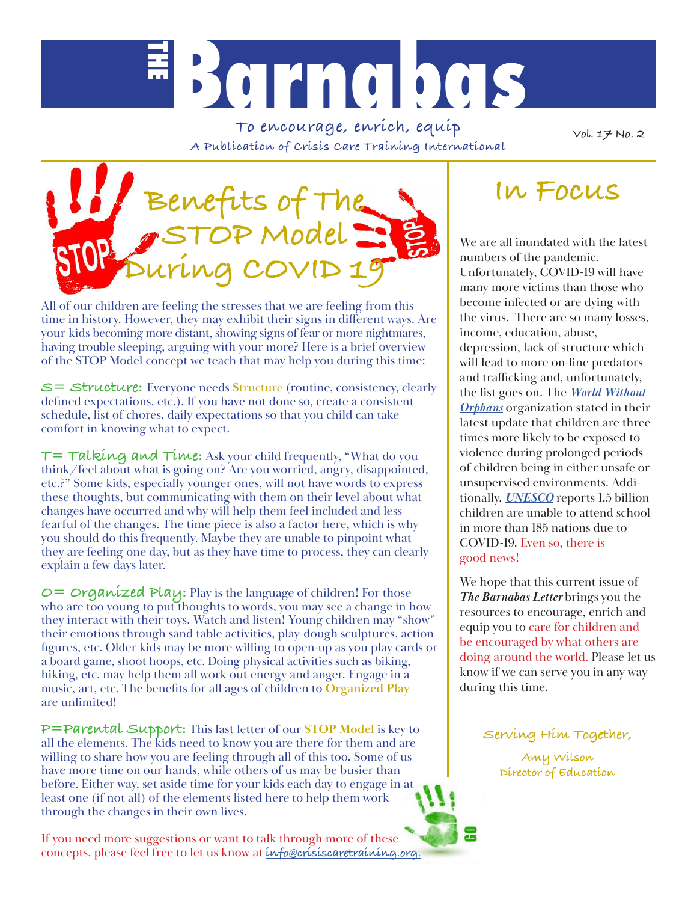

**To encourage, enrich, equip A Publication of Crisis Care Training International**

**Vol. 17 No. 2**



All of our children are feeling the stresses that we are feeling from this time in history. However, they may exhibit their signs in different ways. Are your kids becoming more distant, showing signs of fear or more nightmares, having trouble sleeping, arguing with your more? Here is a brief overview of the STOP Model concept we teach that may help you during this time:

**S= Structure:** Everyone needs **S**tructure (routine, consistency, clearly defined expectations, etc.). If you have not done so, create a consistent schedule, list of chores, daily expectations so that you child can take comfort in knowing what to expect.

**T= Talking and Time:** Ask your child frequently, "What do you think/feel about what is going on? Are you worried, angry, disappointed, etc.?" Some kids, especially younger ones, will not have words to express these thoughts, but communicating with them on their level about what changes have occurred and why will help them feel included and less fearful of the changes. The time piece is also a factor here, which is why you should do this frequently. Maybe they are unable to pinpoint what they are feeling one day, but as they have time to process, they can clearly explain a few days later.

**O= Organized Play:** Play is the language of children! For those who are too young to put thoughts to words, you may see a change in how they interact with their toys. Watch and listen! Young children may "show" their emotions through sand table activities, play-dough sculptures, action figures, etc. Older kids may be more willing to open-up as you play cards or a board game, shoot hoops, etc. Doing physical activities such as biking, hiking, etc. may help them all work out energy and anger. Engage in a music, art, etc. The benefits for all ages of children to **Organized Play** are unlimited!

**P=Parental Support:** This last letter of our **STOP Model** is key to all the elements. The kids need to know you are there for them and are willing to share how you are feeling through all of this too. Some of us have more time on our hands, while others of us may be busier than before. Either way, set aside time for your kids each day to engage in at least one (if not all) of the elements listed here to help them work through the changes in their own lives.

If you need more suggestions or want to talk through more of these concepts, please feel free to let us know at **info@crisiscaretraining.org.**

## **In Focus**

We are all inundated with the latest numbers of the pandemic. Unfortunately, COVID-19 will have many more victims than those who become infected or are dying with the virus. There are so many losses, income, education, abuse, depression, lack of structure which will lead to more on-line predators and trafficking and, unfortunately, the list goes on. The *World Without Orphans* organization stated in their latest update that children are three times more likely to be exposed to violence during prolonged periods of children being in either unsafe or unsupervised environments. Additionally, *UNESCO* reports 1.5 billion children are unable to attend school in more than 185 nations due to COVID-19. Even so, there is good news!

We hope that this current issue of *The Barnabas Letter* brings you the resources to encourage, enrich and equip you to care for children and be encouraged by what others are doing around the world. Please let us know if we can serve you in any way during this time.

**Serving Him Together,**

**Amy Wilson Director of Education**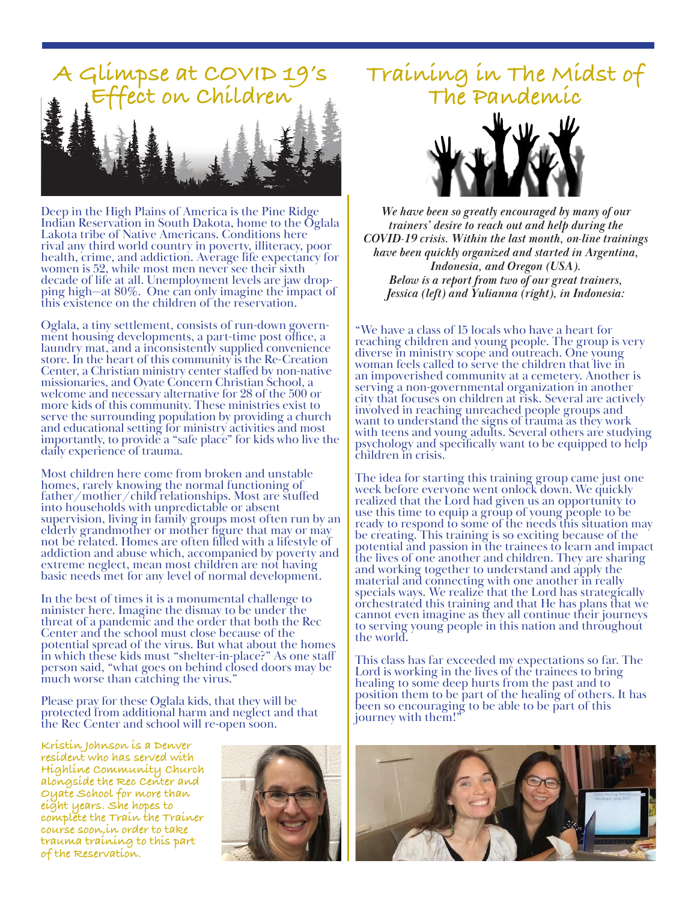

Deep in the High Plains of America is the Pine Ridge Indian Reservation in South Dakota, home to the Oglala Lakota tribe of Native Americans. Conditions here rival any third world country in poverty, illiteracy, poor health, crime, and addiction. Average life expectancy for women is 52, while most men never see their sixth<br>decade of life at all. Unemployment levels are jaw dropping high—at 80%. One can only imagine the impact of this existence on the children of the reservation.

Oglala, a tiny settlement, consists of run-down govern- ment housing developments, a part-time post office, a laundry mat, and a inconsistently supplied convenience store. In the heart of this community is the Re-Creation Center, a Christian ministry center staffed by non-native missionaries, and Oyate Concern Christian School, a welcome and necessary alternative for 28 of the 500 or more kids of this community. These ministries exist to serve the surrounding population by providing a church and educational setting for ministry activities and most importantly, to provide a "safe place" for kids who live the daily experience of trauma.

Most children here come from broken and unstable homes, rarely knowing the normal functioning of father/mother/child relationships. Most are stuffed into households with unpredictable or absent supervision, living in family groups most often run by an elderly grandmother or mother figure that may or may not be related. Homes are often filled with a lifestyle of addiction and abuse which, accompanied by poverty and extreme neglect, mean most children are not having basic needs met for any level of normal development.

In the best of times it is a monumental challenge to minister here. Imagine the dismay to be under the threat of a pandemic and the order that both the Rec Center and the school must close because of the potential spread of the virus. But what about the homes in which these kids must "shelter-in-place?" As one staff person said, "what goes on behind closed doors may be much worse than catching the virus."

Please pray for these Oglala kids, that they will be protected from additional harm and neglect and that the Rec Center and school will re-open soon.

**Kristin Johnson is a Denver resident who has served with Highline Community Church alongside the Rec Center and Oyate School for more than eight years. She hopes to complete the Train the Trainer course soon,in order to take trauma training to this part of the Reservation.**



# **Training in The Midst of The Pandemic**



*We have been so greatly encouraged by many of our trainers' desire to reach out and help during the COVID-19 crisis. Within the last month, on-line trainings have been quickly organized and started in Argentina, Indonesia, and Oregon (USA). Below is a report from two of our great trainers, Jessica (left) and Yulianna (right), in Indonesia:*

"We have a class of 15 locals who have a heart for reaching children and young people. The group is very diverse in ministry scope and outreach. One young woman feels called to serve the children that live in an impoverished community at a cemetery. Another is serving a non-governmental organization in another city that focuses on children at risk. Several are actively involved in reaching unreached people groups and want to understand the signs of trauma as they work with teens and young adults. Several others are studying psychology and specifically want to be equipped to help children in crisis.

The idea for starting this training group came just one week before everyone went onlock down. We quickly realized that the Lord had given us an opportunity to use this time to equip a group of young people to be ready to respond to some of the needs this situation may be creating. This training is so exciting because of the potential and passion in the trainees to learn and impact the lives of one another and children. They are sharing and working together to understand and apply the material and connecting with one another in really specials ways. We realize that the Lord has strategically orchestrated this training and that He has plans that we cannot even imagine as they all continue their journeys to serving young people in this nation and throughout the world.

This class has far exceeded my expectations so far. The Lord is working in the lives of the trainees to bring healing to some deep hurts from the past and to position them to be part of the healing of others. It has been so encouraging to be able to be part of this journey with them!"